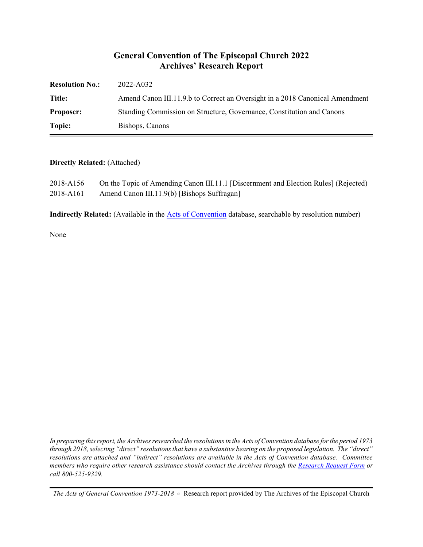#### **General Convention of The Episcopal Church 2022 Archives' Research Report**

| <b>Resolution No.:</b> | 2022-A032                                                                    |
|------------------------|------------------------------------------------------------------------------|
| Title:                 | Amend Canon III.11.9.b to Correct an Oversight in a 2018 Canonical Amendment |
| <b>Proposer:</b>       | Standing Commission on Structure, Governance, Constitution and Canons        |
| Topic:                 | Bishops, Canons                                                              |

#### **Directly Related:** (Attached)

| 2018-A156 | On the Topic of Amending Canon III.11.1 [Discernment and Election Rules] (Rejected) |
|-----------|-------------------------------------------------------------------------------------|
| 2018-A161 | Amend Canon III.11.9(b) [Bishops Suffragan]                                         |

**Indirectly Related:** (Available in the [Acts of Convention](https://www.episcopalarchives.org/e-archives/acts/) database, searchable by resolution number)

None

*In preparing this report, the Archives researched the resolutions in the Acts of Convention database for the period 1973 through 2018, selecting "direct" resolutions that have a substantive bearing on the proposed legislation. The "direct" resolutions are attached and "indirect" resolutions are available in the Acts of Convention database. Committee members who require other research assistance should contact the Archives through the Research [Request Form](https://www.episcopalarchives.org/contact/research-request-form) or call 800-525-9329.*

*The Acts of General Convention 1973-2018*  $*$  Research report provided by The Archives of the Episcopal Church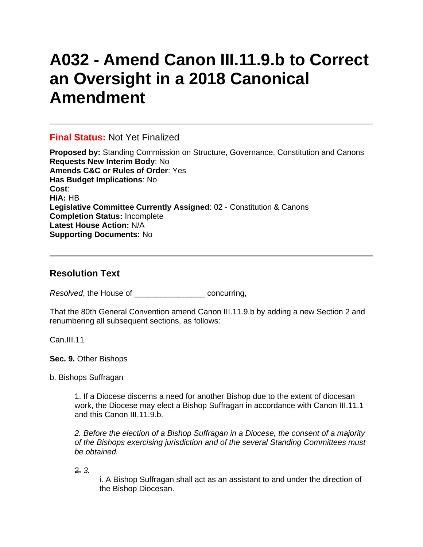# **A032 - Amend Canon III.11.9.b to Correct an Oversight in a 2018 Canonical Amendment**

### **Final Status:** Not Yet Finalized

**Proposed by:** Standing Commission on Structure, Governance, Constitution and Canons **Requests New Interim Body**: No **Amends C&C or Rules of Order**: Yes **Has Budget Implications**: No **Cost**: **HiA:** HB **Legislative Committee Currently Assigned**: 02 - Constitution & Canons **Completion Status:** Incomplete **Latest House Action:** N/A **Supporting Documents:** No

## **Resolution Text**

*Resolved*, the House of \_\_\_\_\_\_\_\_\_\_\_\_\_\_\_\_ concurring,

That the 80th General Convention amend Canon III.11.9.b by adding a new Section 2 and renumbering all subsequent sections, as follows:

Can. III.11

**Sec. 9.** Other Bishops

b. Bishops Suffragan

1. If a Diocese discerns a need for another Bishop due to the extent of diocesan work, the Diocese may elect a Bishop Suffragan in accordance with Canon III.11.1 and this Canon III.11.9.b.

*2. Before the election of a Bishop Suffragan in a Diocese, the consent of a majority of the Bishops exercising jurisdiction and of the several Standing Committees must be obtained.*

2. *3.*

i. A Bishop Suffragan shall act as an assistant to and under the direction of the Bishop Diocesan.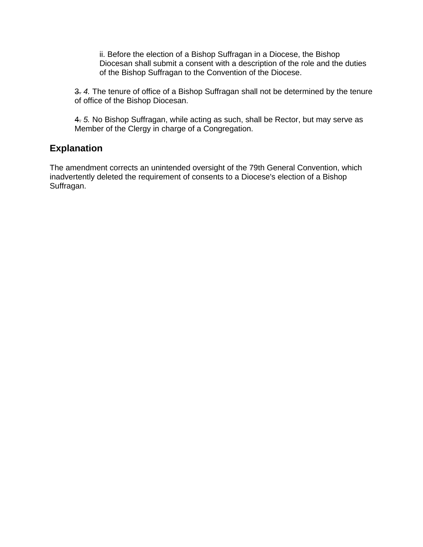ii. Before the election of a Bishop Suffragan in a Diocese, the Bishop Diocesan shall submit a consent with a description of the role and the duties of the Bishop Suffragan to the Convention of the Diocese.

3. *4.* The tenure of office of a Bishop Suffragan shall not be determined by the tenure of office of the Bishop Diocesan.

4. *5.* No Bishop Suffragan, while acting as such, shall be Rector, but may serve as Member of the Clergy in charge of a Congregation.

### **Explanation**

The amendment corrects an unintended oversight of the 79th General Convention, which inadvertently deleted the requirement of consents to a Diocese's election of a Bishop Suffragan.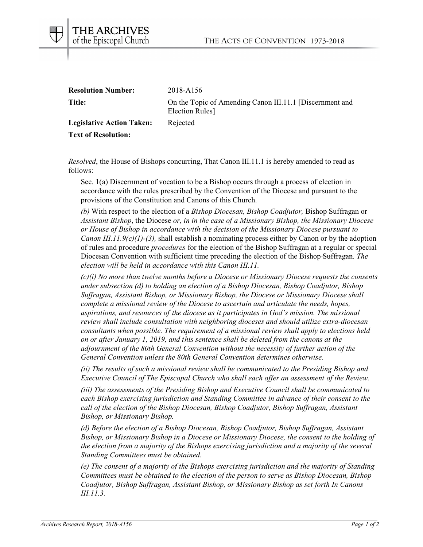

| <b>Resolution Number:</b>        | 2018-A156                                                                  |
|----------------------------------|----------------------------------------------------------------------------|
| Title:                           | On the Topic of Amending Canon III.11.1 [Discernment and<br>Election Rules |
| <b>Legislative Action Taken:</b> | Rejected                                                                   |
| <b>Text of Resolution:</b>       |                                                                            |

*Resolved*, the House of Bishops concurring, That Canon III.11.1 is hereby amended to read as follows:

Sec. 1(a) Discernment of vocation to be a Bishop occurs through a process of election in accordance with the rules prescribed by the Convention of the Diocese and pursuant to the provisions of the Constitution and Canons of this Church.

*(b)* With respect to the election of a *Bishop Diocesan, Bishop Coadjutor,* Bishop Suffragan or *Assistant Bishop*, the Diocese *or, in in the case of a Missionary Bishop, the Missionary Diocese or House of Bishop in accordance with the decision of the Missionary Diocese pursuant to Canon III.11.9(c)(1)-(3),* shall establish a nominating process either by Canon or by the adoption of rules and procedure *procedures* for the election of the Bishop Suffragan at a regular or special Diocesan Convention with sufficient time preceding the election of the Bishop Suffragan. *The election will be held in accordance with this Canon III.11.*

*(c)(i) No more than twelve months before a Diocese or Missionary Diocese requests the consents under subsection (d) to holding an election of a Bishop Diocesan, Bishop Coadjutor, Bishop Suffragan, Assistant Bishop, or Missionary Bishop, the Diocese or Missionary Diocese shall complete a missional review of the Diocese to ascertain and articulate the needs, hopes, aspirations, and resources of the diocese as it participates in God's mission. The missional review shall include consultation with neighboring dioceses and should utilize extra-diocesan consultants when possible. The requirement of a missional review shall apply to elections held on or after January 1, 2019, and this sentence shall be deleted from the canons at the adjournment of the 80th General Convention without the necessity of further action of the General Convention unless the 80th General Convention determines otherwise.*

*(ii) The results of such a missional review shall be communicated to the Presiding Bishop and Executive Council of The Episcopal Church who shall each offer an assessment of the Review.*

*(iii) The assessments of the Presiding Bishop and Executive Council shall be communicated to each Bishop exercising jurisdiction and Standing Committee in advance of their consent to the call of the election of the Bishop Diocesan, Bishop Coadjutor, Bishop Suffragan, Assistant Bishop, or Missionary Bishop.*

*(d) Before the election of a Bishop Diocesan, Bishop Coadjutor, Bishop Suffragan, Assistant Bishop, or Missionary Bishop in a Diocese or Missionary Diocese, the consent to the holding of the election from a majority of the Bishops exercising jurisdiction and a majority of the several Standing Committees must be obtained.*

*(e) The consent of a majority of the Bishops exercising jurisdiction and the majority of Standing Committees must be obtained to the election of the person to serve as Bishop Diocesan, Bishop Coadjutor, Bishop Suffragan, Assistant Bishop, or Missionary Bishop as set forth In Canons III.11.3.*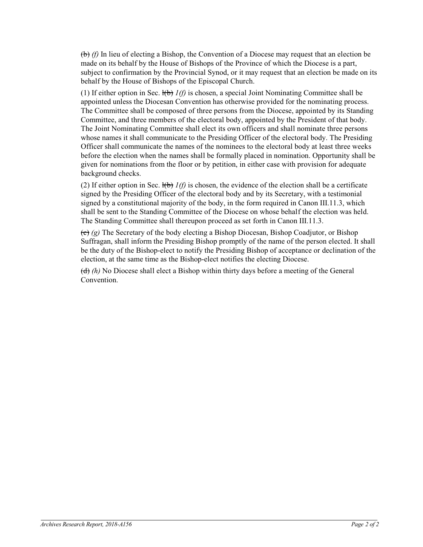(b) *(f)* In lieu of electing a Bishop, the Convention of a Diocese may request that an election be made on its behalf by the House of Bishops of the Province of which the Diocese is a part, subject to confirmation by the Provincial Synod, or it may request that an election be made on its behalf by the House of Bishops of the Episcopal Church.

(1) If either option in Sec.  $H\rightarrow H(f)$  is chosen, a special Joint Nominating Committee shall be appointed unless the Diocesan Convention has otherwise provided for the nominating process. The Committee shall be composed of three persons from the Diocese, appointed by its Standing Committee, and three members of the electoral body, appointed by the President of that body. The Joint Nominating Committee shall elect its own officers and shall nominate three persons whose names it shall communicate to the Presiding Officer of the electoral body. The Presiding Officer shall communicate the names of the nominees to the electoral body at least three weeks before the election when the names shall be formally placed in nomination. Opportunity shall be given for nominations from the floor or by petition, in either case with provision for adequate background checks.

(2) If either option in Sec.  $\{\vec{b}\}$  *1(f)* is chosen, the evidence of the election shall be a certificate signed by the Presiding Officer of the electoral body and by its Secretary, with a testimonial signed by a constitutional majority of the body, in the form required in Canon III.11.3, which shall be sent to the Standing Committee of the Diocese on whose behalf the election was held. The Standing Committee shall thereupon proceed as set forth in Canon III.11.3.

(c) *(g)* The Secretary of the body electing a Bishop Diocesan, Bishop Coadjutor, or Bishop Suffragan, shall inform the Presiding Bishop promptly of the name of the person elected. It shall be the duty of the Bishop-elect to notify the Presiding Bishop of acceptance or declination of the election, at the same time as the Bishop-elect notifies the electing Diocese.

(d) *(h)* No Diocese shall elect a Bishop within thirty days before a meeting of the General Convention.